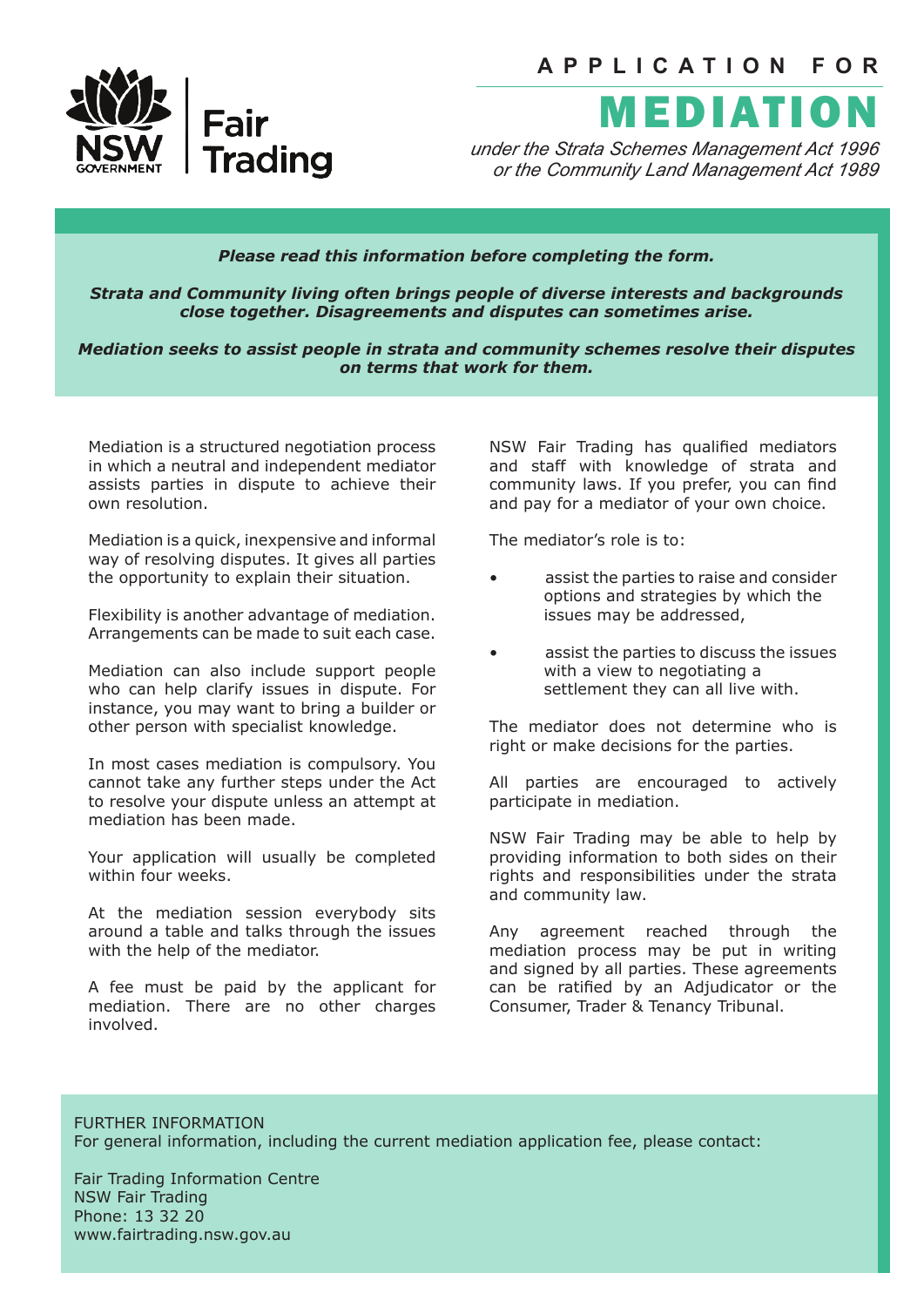

*under the Strata Schemes Management Act 1996 or the Community Land Management Act 1989*

## *Please read this information before completing the form.*

*Strata and Community living often brings people of diverse interests and backgrounds close together. Disagreements and disputes can sometimes arise.* 

*Mediation seeks to assist people in strata and community schemes resolve their disputes on terms that work for them.* 

Mediation is a structured negotiation process in which a neutral and independent mediator assists parties in dispute to achieve their own resolution.

Fair

**Trading** 

Mediation is a quick, inexpensive and informal way of resolving disputes. It gives all parties the opportunity to explain their situation.

Flexibility is another advantage of mediation. Arrangements can be made to suit each case.

Mediation can also include support people who can help clarify issues in dispute. For instance, you may want to bring a builder or other person with specialist knowledge.

In most cases mediation is compulsory. You cannot take any further steps under the Act to resolve your dispute unless an attempt at mediation has been made.

Your application will usually be completed within four weeks.

At the mediation session everybody sits around a table and talks through the issues with the help of the mediator.

A fee must be paid by the applicant for mediation. There are no other charges involved.

NSW Fair Trading has qualified mediators and staff with knowledge of strata and community laws. If you prefer, you can find and pay for a mediator of your own choice.

The mediator's role is to:

- assist the parties to raise and consider options and strategies by which the issues may be addressed,
- assist the parties to discuss the issues with a view to negotiating a settlement they can all live with.

The mediator does not determine who is right or make decisions for the parties.

All parties are encouraged to actively participate in mediation.

NSW Fair Trading may be able to help by providing information to both sides on their rights and responsibilities under the strata and community law.

Any agreement reached through the mediation process may be put in writing and signed by all parties. These agreements can be ratified by an Adjudicator or the Consumer, Trader & Tenancy Tribunal.

FURTHER INFORMATION For general information, including the current mediation application fee, please contact:

Fair Trading Information Centre NSW Fair Trading Phone: 13 32 20 www.fairtrading.nsw.gov.au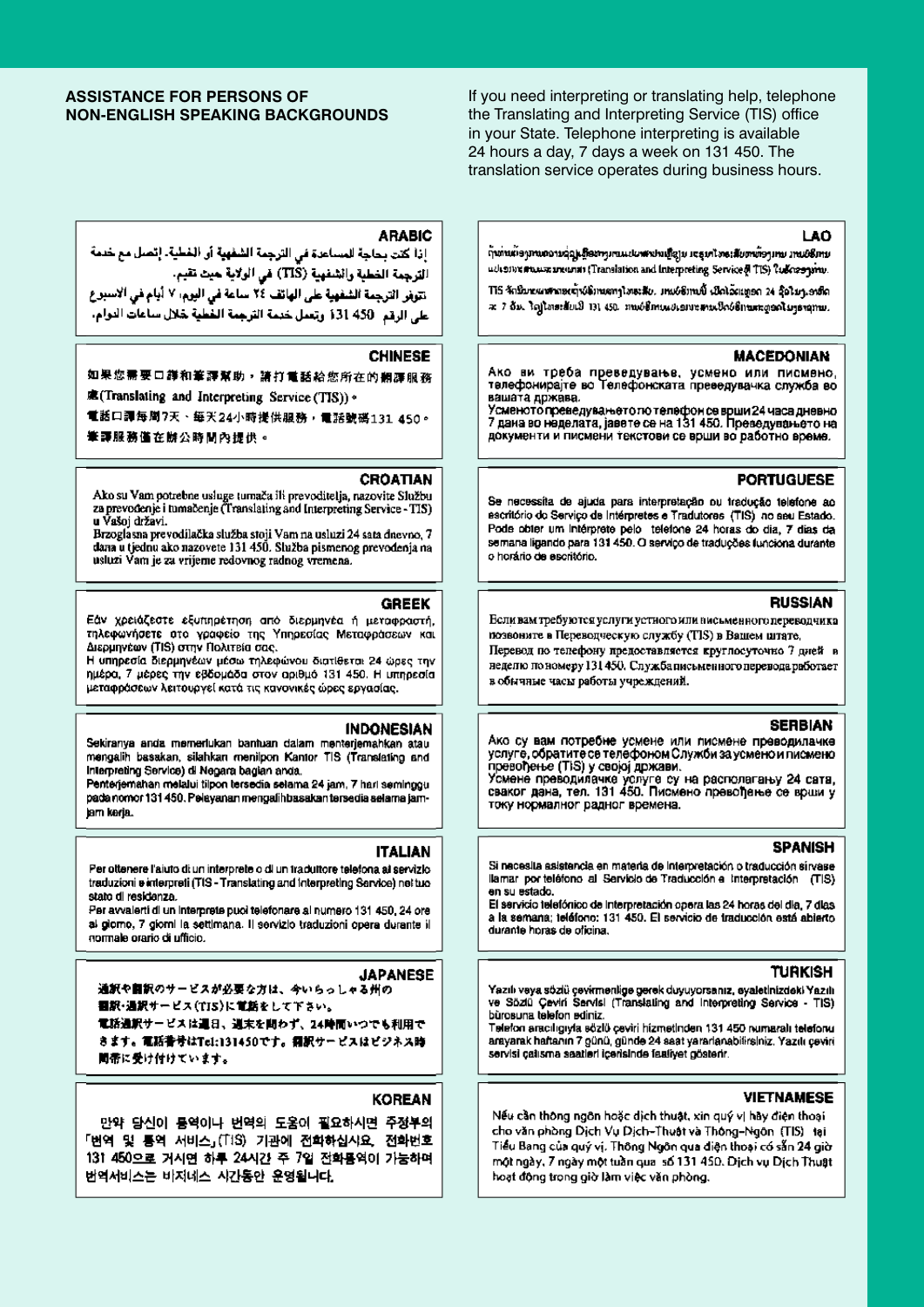## **ASSISTANCE FOR PERSONS OF NON-ENGLISH SPEAKING BACKGROUNDS**

If you need interpreting or translating help, telephone the Translating and Interpreting Service (TIS) office in your State. Telephone interpreting is available 24 hours a day, 7 days a week on 131 450. The translation service operates during business hours.

## 1.40

กุ้นทันผู้อยู่ทนเองบรรมเกือนทุนทนแปลงสะปนเกือบ เจรมทัลงเสียตาเกือบทบ มานอธิกาย ucleonware areas in (Translation and Interpreting Service of TIS) ?safeway.inn.

TIS จักริบายแพรงอยู่ๆจังจักษะทรุโทธเสีย. มาแย่ซักษนั้นเปิดโฉเเทอก 24 จุ๊อในระชนิด  $x$  7 du lajlas: duil 131 450 nuois muuttava tois mungeolustamu.

## **MACEDONIAN**

Ако ви треба преведување, усмено или писмено,<br>телефонирајте во Телефонската преведувачка служба во вашата држава.

.<br>Усменото преведувањето по телефон се врши 24 часа дневно<br>7 дана во неделата, јавете се на 131 450. Преведувањето на документи и писмени текстови се воши во работно време.

## **PORTUGUESE**

Se necessita de ajuda para interpretação ou tradução telefone ao escritório do Serviço de Intérpretes e Tradutores (TIS) no seu Estado. Pode obter um intérprete pelo telefone 24 horas do dia, 7 dias da semana ligando para 131 450. O serviço de traduções funciona durante o horário de escritório.

## **RUSSIAN**

Если вам требуются услуги устного или висьменного переводчика позвоните в Переводческую службу (TIS) в Вашем штате, Перевод по телефону предоставляется круглосуточно 7 дней в

неделю по номеру 131 450. Служба письменного перевода работает в обычные часы работы учреждений.

## **SERBIAN**

Ако су вам потребне усмене или писмене преводилачке услуге, обратите се телефоном Служби за усмено и писмено

превођење (TIS) у својој држави.<br>Усмене преводилачке услуге су на располагању 24 сата,<br>сваког дана, тел. 131 450. Писмено превођење се врши у току нормалног радног времена.

## **SPANISH**

Si nacesita asistencia en materia de interpretación o traducción sirvase llamar por teléfono al Servicio de Traducción e Interpretación (TIS) en su estado.

El servicio telefónico de Interpretación opera las 24 horas del día, 7 días a la semana; teléfono: 131 450. El servicio de traducción está abierto durante horas de oficioa.

## **TURKISH**

Yazılı veya sözlü çevirmenlige gerek duyuyorsanız, eyaletinizdeki Yazılı ve Sözlü Çeviri Servisi (Translating and Interpreting Service - TIS) bürosuna telefon ediniz.

Telefon aracılığıyla sözlü çeviri hizmetinden 131 450 numaralı telefonu. arayarak haftanın 7 günü, günde 24 saat yararlanabilirsiniz. Yazılı çeviri servisi çalısma saatleri içerisinde faatiyet gösterir.

## **VIETNAMESE**

Nếu cần thông ngôn hoặc dịch thuật, xin quý vị hãy điện thoại cho văn phòng Dịch Vụ Dịch-Thuật và Thông-Ngôn (TIS) tại Tiểu Bang của quý vị. Thông Ngôn qua điện thoại có sẵn 24 giờ một ngày, 7 ngày một tuần qual số 131 450. Dịch vụ Dịch Thuật hoạt động trong giờ làm việc văn phòng.

## **ARABIC**

إذا كتت بحاجة للمساعدة في الترجمة الشفهية أو الغطية. إتصل مع خدمة الترجمة الخطية والشفهية (TIS) في الولاية حيث تقيم.

تتوفر الترجمة الشفهية على الهاتف ٢٤ ساعة في اليوم، ٧ أيام في الاسبوع على الرقم: 450 131 وتعمل خدمة الترجمة الخطية لغلال ساعات الدوام.

### **CHINESE**

## 如果您需要口譁和筆譯幫助,請打電話給您所在的翻譯服務

處(Translating and Interpreting Service (TIS))。

電話口譚每周7天、每天24小時提供服務,電話號碼131 450。

筆譯服務僅在辦公時間內提供。

## **CROATIAN**

Ako su Vam potrebne usluge tumača ili prevoditelja, nazovite Službu za prevođenje i tumačenje (Translating and Interpreting Service - TIS) u Vašoj državi.

Brzoglasna prevodilačka služba stoji Vam na usluzi 24 sata dnevno, 7 dana u tjednu ako nazovete 131 450. Služba pismenog prevođenja na usluzi Vam je za vrijeme redovnog radnog vremena.

## **GREEK**

Εάν χρειάζεστε εξυπηρέτηση από διερμηνέα ή μεταφραστή, τηλεφωνήσετε στο γραφείο της Υπηρεσίας Μεταφράσεων και Διερμηνέων (TIS) στην Πολιτεία σας.

Η υπηρεσία διερμηνέων μέσω τηλεφώνου διατίθεται 24 ώρες την ημέρα, 7 μέρες την εβδομάδα στον αριθμό 131 450. Η υπηρεσία μεταφράσεων λειτουργεί κατά τις κανονικές ώρες εργασίας.

## **INDONESIAN**

Sekiranya anda memerlukan bantuan dalam menterjemahkan atau mengalih basakan, silahkan menilpon Kantor TIS (Translating and Interpreting Service) di Negara bagian anda.

Penterjemahan melalui tilpon tersedia selama 24 jam, 7 hari seminggu pada nomor 131 450. Pelayanan mengalih basakan tersedia selama jamlam keria.

#### **ITALIAN**

#### Per ottenere l'aiuto di un interprete o di un traduttore telefona ai servizio traduzioni e interpreti (TIS - Translating and Interpreting Service) net tuo stato di residenza.

Per avvalenti di un interprete puoi telefonare ai numero 131 450, 24 ore al giorno, 7 giorni la settimana. Il servizio traduzioni opera durante il normale orario di ufficio.

### **JAPANESE**

通訳や自訳のサービスが必要な方は、今いらっしゃる州の

翻訳・通訳サービス(TIS)に電話をして下さい。

電話通訳サービスは運日、選末を問わず、24時間いつでも利用で きます。電話番号はTel:131450です。翻訳サービスはビジネス時 間帯に受け付けています。

## **KOREAN**

만약 당신이 통역이나 번역의 도움이 필요하시면 주정부의 「번역 및 통역 서비스」(TIS) 기관에 전화하십시요, 전화번호 131 450으로 거시면 하루 24시간 주 7일 전화통역이 가능하며 번역서비스는 비지네스 시간통안 운영됩니다.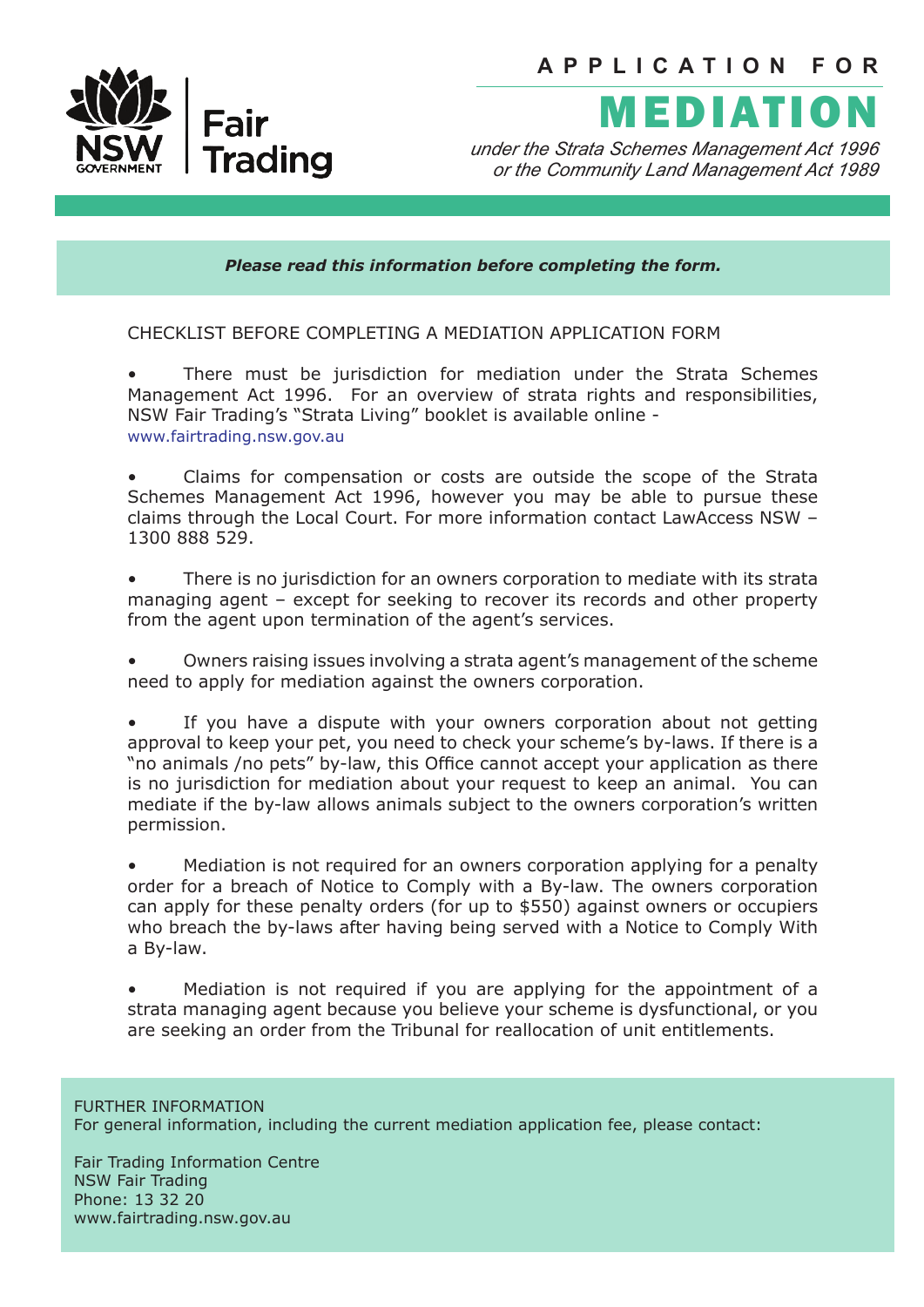

# MEDIATION

*under the Strata Schemes Management Act 1996 or the Community Land Management Act 1989*

*Please read this information before completing the form.*

CHECKLIST BEFORE COMPLETING A MEDIATION APPLICATION FORM

There must be jurisdiction for mediation under the Strata Schemes Management Act 1996. For an overview of strata rights and responsibilities, NSW Fair Trading's "Strata Living" booklet is available online www.fairtrading.nsw.gov.au

• Claims for compensation or costs are outside the scope of the Strata Schemes Management Act 1996, however you may be able to pursue these claims through the Local Court. For more information contact LawAccess NSW – 1300 888 529.

• There is no jurisdiction for an owners corporation to mediate with its strata managing agent – except for seeking to recover its records and other property from the agent upon termination of the agent's services.

• Owners raising issues involving a strata agent's management of the scheme need to apply for mediation against the owners corporation.

If you have a dispute with your owners corporation about not getting approval to keep your pet, you need to check your scheme's by-laws. If there is a "no animals /no pets" by-law, this Office cannot accept your application as there is no jurisdiction for mediation about your request to keep an animal. You can mediate if the by-law allows animals subject to the owners corporation's written permission.

• Mediation is not required for an owners corporation applying for a penalty order for a breach of Notice to Comply with a By-law. The owners corporation can apply for these penalty orders (for up to \$550) against owners or occupiers who breach the by-laws after having being served with a Notice to Comply With a By-law.

• Mediation is not required if you are applying for the appointment of a strata managing agent because you believe your scheme is dysfunctional, or you are seeking an order from the Tribunal for reallocation of unit entitlements.

FURTHER INFORMATION

For general information, including the current mediation application fee, please contact:

Fair Trading Information Centre NSW Fair Trading Phone: 13 32 20 www.fairtrading.nsw.gov.au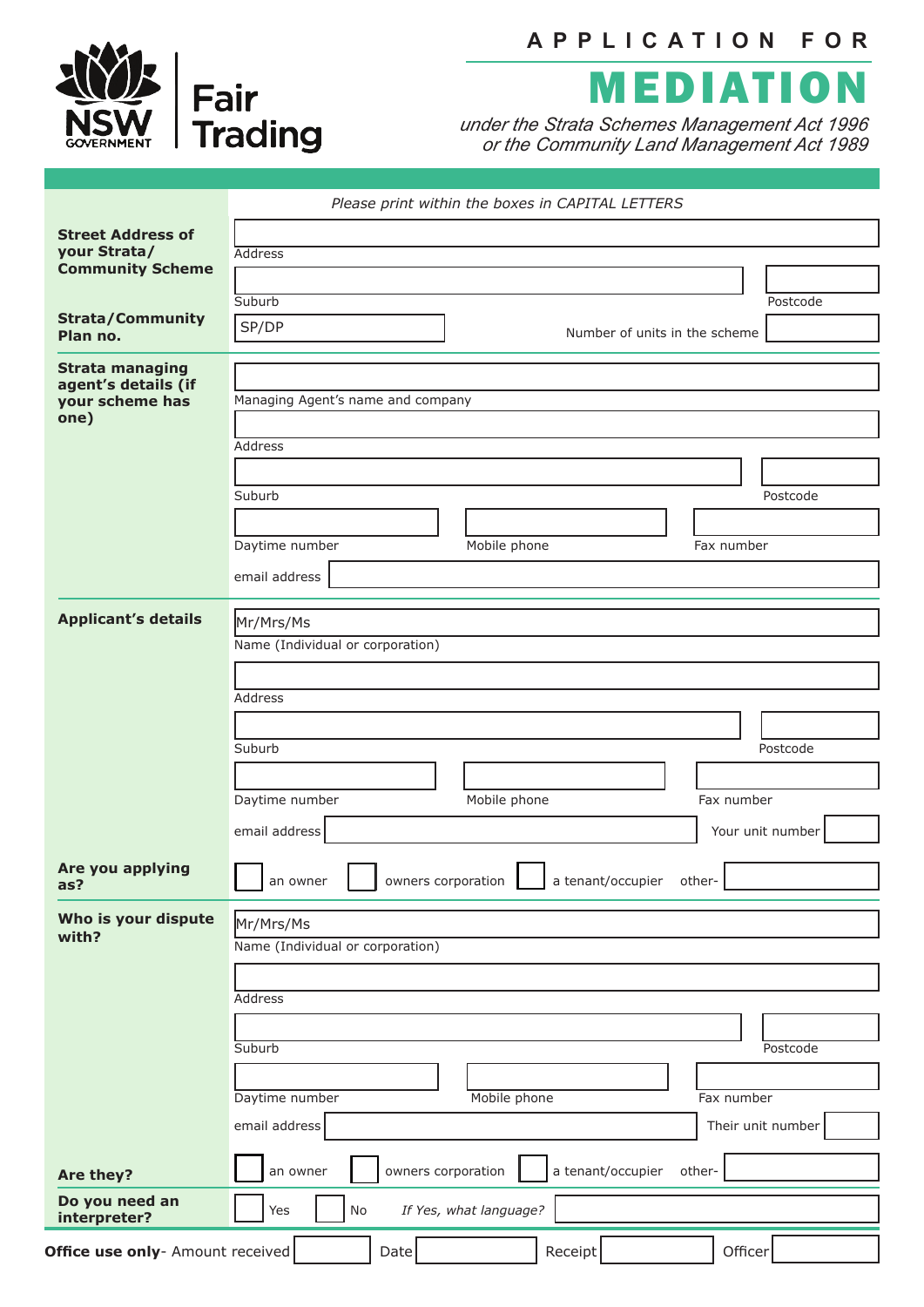

## **APPLICATION FOR**



*under the Strata Schemes Management Act 1996 or the Community Land Management Act 1989*

|                                                                | Please print within the boxes in CAPITAL LETTERS               |
|----------------------------------------------------------------|----------------------------------------------------------------|
| <b>Street Address of</b>                                       |                                                                |
| your Strata/                                                   | <b>Address</b>                                                 |
| <b>Community Scheme</b>                                        |                                                                |
|                                                                | Suburb<br>Postcode                                             |
| <b>Strata/Community</b><br>Plan no.                            | SP/DP<br>Number of units in the scheme                         |
|                                                                |                                                                |
| <b>Strata managing</b>                                         |                                                                |
| agent's details (if<br>your scheme has                         | Managing Agent's name and company                              |
| one)                                                           |                                                                |
|                                                                | Address                                                        |
|                                                                |                                                                |
|                                                                | Suburb<br>Postcode                                             |
|                                                                |                                                                |
|                                                                | Daytime number<br>Mobile phone<br>Fax number                   |
|                                                                |                                                                |
|                                                                | email address                                                  |
| <b>Applicant's details</b>                                     |                                                                |
|                                                                | Mr/Mrs/Ms<br>Name (Individual or corporation)                  |
|                                                                |                                                                |
|                                                                |                                                                |
|                                                                | Address                                                        |
|                                                                |                                                                |
|                                                                | Suburb<br>Postcode                                             |
|                                                                |                                                                |
|                                                                | Mobile phone<br>Fax number<br>Daytime number                   |
|                                                                | email address<br>Your unit number                              |
|                                                                |                                                                |
| Are you applying<br>as?                                        | owners corporation ______ a tenant/occupier other-<br>an owner |
|                                                                |                                                                |
| Who is your dispute<br>with?                                   | Mr/Mrs/Ms                                                      |
|                                                                | Name (Individual or corporation)                               |
|                                                                |                                                                |
|                                                                | Address                                                        |
|                                                                |                                                                |
|                                                                | Suburb<br>Postcode                                             |
|                                                                |                                                                |
|                                                                | Daytime number<br>Mobile phone<br>Fax number                   |
|                                                                | email address<br>Their unit number                             |
|                                                                |                                                                |
| Are they?                                                      | a tenant/occupier<br>owners corporation<br>an owner<br>other-  |
| Do you need an<br>interpreter?                                 | If Yes, what language?<br>Yes<br>No                            |
| Office use only- Amount received<br>Receipt<br>Officer<br>Date |                                                                |
|                                                                |                                                                |